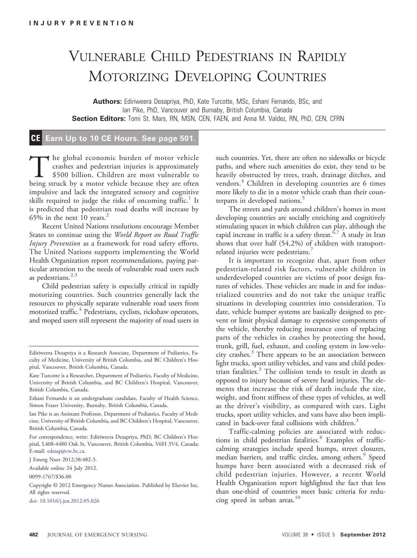## VULNERABLE CHILD PEDESTRIANS IN RAPIDLY MOTORIZING DEVELOPING COUNTRIES

Authors: Ediriweera Desapriya, PhD, Kate Turcotte, MSc, Eshani Fernando, BSc, and Ian Pike, PhD, Vancouver and Burnaby, British Columbia, Canada Section Editors: Tomi St. Mars, RN, MSN, CEN, FAEN, and Anna M. Valdez, RN, PhD, CEN, CFRN

## CE Earn Up to 10 CE Hours. See page 501.

The global economic burden of motor vehicle<br>crashes and pedestrian injuries is approximately<br>\$500 billion. Children are most vulnerable to<br>being struck by a motor vehicle because they are often crashes and pedestrian injuries is approximately \$500 billion. Children are most vulnerable to being struck by a motor vehicle because they are often impulsive and lack the integrated sensory and cognitive skills required to judge the risks of oncoming traffic.<sup>[1](#page-1-0)</sup> It is predicted that pedestrian road deaths will increase by 65% in the next 10 years. $2$ 

Recent United Nations resolutions encourage Member States to continue using the World Report on Road Traffic Injury Prevention as a framework for road safety efforts. The United Nations supports implementing the World Health Organization report recommendations, paying particular attention to the needs of vulnerable road users such as pedestrians. $2,3$ 

Child pedestrian safety is especially critical in rapidly motorizing countries. Such countries generally lack the resources to physically separate vulnerable road users from motorized traffic.<sup>[4](#page-1-0)</sup> Pedestrians, cyclists, rickshaw operators, and moped users still represent the majority of road users in

J Emerg Nurs 2012;38:482-3.

[doi: 10.1016/j.jen.2012.05.026](http://dx.doi.org/10.1016/j.jen.2012.05.026)

such countries. Yet, there are often no sidewalks or bicycle paths, and where such amenities do exist, they tend to be heavily obstructed by trees, trash, drainage ditches, and vendors.<sup>[4](#page-1-0)</sup> Children in developing countries are 6 times more likely to die in a motor vehicle crash than their coun-terparts in developed nations.<sup>[5](#page-1-0)</sup>

The streets and yards around children's homes in most developing countries are socially enriching and cognitively stimulating spaces in which children can play, although the rapid increase in traffic is a safety threat.<sup>6,7</sup> A study in Iran shows that over half (54.2%) of children with transport-related injuries were pedestrians.<sup>[7](#page-1-0)</sup>

It is important to recognize that, apart from other pedestrian-related risk factors, vulnerable children in underdeveloped countries are victims of poor design features of vehicles. These vehicles are made in and for industrialized countries and do not take the unique traffic situations in developing countries into consideration. To date, vehicle bumper systems are basically designed to prevent or limit physical damage to expensive components of the vehicle, thereby reducing insurance costs of replacing parts of the vehicles in crashes by protecting the hood, trunk, grill, fuel, exhaust, and cooling system in low-velocity crashes.[3](#page-1-0) There appears to be an association between light trucks, sport utility vehicles, and vans and child pedestrian fatalities. $3$  The collision tends to result in death as opposed to injury because of severe head injuries. The elements that increase the risk of death include the size, weight, and front stiffness of these types of vehicles, as well as the driver's visibility, as compared with cars. Light trucks, sport utility vehicles, and vans have also been impli-cated in back-over fatal collisions with children.<sup>[3](#page-1-0)</sup>

Traffic-calming policies are associated with reduc-tions in child pedestrian fatalities.<sup>[8](#page-1-0)</sup> Examples of trafficcalming strategies include speed humps, street closures, median barriers, and traffic circles, among others.<sup>[9](#page-1-0)</sup> Speed humps have been associated with a decreased risk of child pedestrian injuries. However, a recent World Health Organization report highlighted the fact that less than one-third of countries meet basic criteria for redu-cing speed in urban areas.<sup>[10](#page-1-0)</sup>

Ediriweera Desapriya is a Research Associate, Department of Pediatrics, Faculty of Medicine, University of British Columbia, and BC Children's Hospital, Vancouver, British Columbia, Canada.

Kate Turcotte is a Researcher, Department of Pediatrics, Faculty of Medicine, University of British Columbia, and BC Children's Hospital, Vancouver, British Columbia, Canada.

Eshani Fernando is an undergraduate candidate, Faculty of Health Science, Simon Fraser University, Burnaby, British Columbia, Canada.

Ian Pike is an Assistant Professor, Department of Pediatrics, Faculty of Medicine, University of British Columbia, and BC Children's Hospital, Vancouver, British Columbia, Canada.

For correspondence, write: Ediriweera Desapriya, PhD, BC Children's Hospital, L408-4480 Oak St, Vancouver, British Columbia, V6H 3V4, Canada; E-mail: [edesap@cw.bc.ca](mailto:edesap@cw.bc.ca).

Available online 24 July 2012.

<sup>0099-1767/\$36.00</sup>

Copyright © 2012 Emergency Nurses Association. Published by Elsevier Inc. All rights reserved.